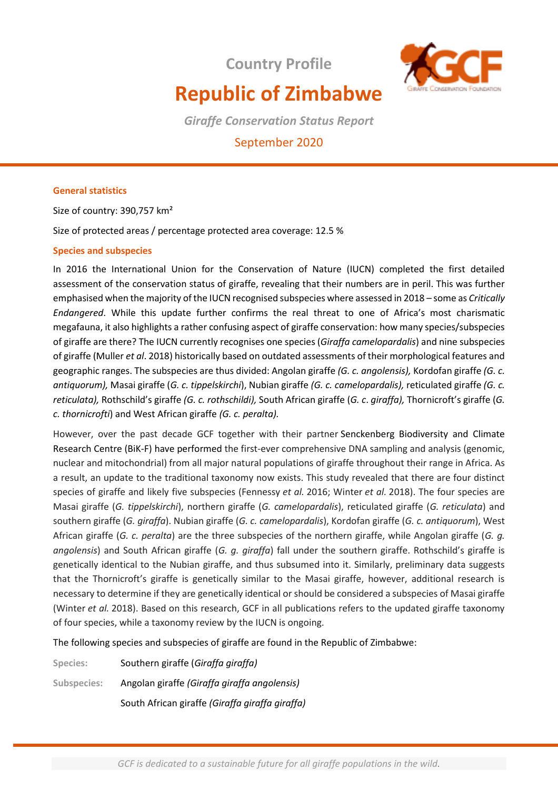**Country Profile**



# **Republic of Zimbabwe**

*Giraffe Conservation Status Report* 

## September 2020

#### **General statistics**

Size of country: 390,757 km²

Size of protected areas / percentage protected area coverage: 12.5 %

#### **Species and subspecies**

In 2016 the International Union for the Conservation of Nature (IUCN) completed the first detailed assessment of the conservation status of giraffe, revealing that their numbers are in peril. This was further emphasised when the majority of the IUCN recognised subspecies where assessed in 2018 – some as *Critically Endangered*. While this update further confirms the real threat to one of Africa's most charismatic megafauna, it also highlights a rather confusing aspect of giraffe conservation: how many species/subspecies of giraffe are there? The IUCN currently recognises one species (*Giraffa camelopardalis*) and nine subspecies of giraffe (Muller *et al*. 2018) historically based on outdated assessments of their morphological features and geographic ranges. The subspecies are thus divided: Angolan giraffe *(G. c. angolensis),* Kordofan giraffe *(G. c. antiquorum),* Masai giraffe (*G. c. tippelskirchi*), Nubian giraffe *(G. c. camelopardalis),* reticulated giraffe *(G. c. reticulata),* Rothschild's giraffe *(G. c. rothschildi),* South African giraffe (*G. c*. *giraffa),* Thornicroft's giraffe (*G. c. thornicrofti*) and West African giraffe *(G. c. peralta).* 

However, over the past decade GCF together with their partner Senckenberg Biodiversity and Climate Research Centre (BiK-F) have performed the first-ever comprehensive DNA sampling and analysis (genomic, nuclear and mitochondrial) from all major natural populations of giraffe throughout their range in Africa. As a result, an update to the traditional taxonomy now exists. This study revealed that there are four distinct species of giraffe and likely five subspecies (Fennessy *et al.* 2016; Winter *et al.* 2018). The four species are Masai giraffe (*G. tippelskirchi*), northern giraffe (*G. camelopardalis*), reticulated giraffe (*G. reticulata*) and southern giraffe (*G. giraffa*). Nubian giraffe (*G. c. camelopardalis*), Kordofan giraffe (*G. c. antiquorum*), West African giraffe (*G. c. peralta*) are the three subspecies of the northern giraffe, while Angolan giraffe (*G. g. angolensis*) and South African giraffe (*G. g. giraffa*) fall under the southern giraffe. Rothschild's giraffe is genetically identical to the Nubian giraffe, and thus subsumed into it. Similarly, preliminary data suggests that the Thornicroft's giraffe is genetically similar to the Masai giraffe, however, additional research is necessary to determine if they are genetically identical or should be considered a subspecies of Masai giraffe (Winter *et al.* 2018). Based on this research, GCF in all publications refers to the updated giraffe taxonomy of four species, while a taxonomy review by the IUCN is ongoing.

The following species and subspecies of giraffe are found in the Republic of Zimbabwe:

| Species:    | Southern giraffe (Giraffa giraffa)              |
|-------------|-------------------------------------------------|
| Subspecies: | Angolan giraffe (Giraffa giraffa angolensis)    |
|             | South African giraffe (Giraffa giraffa giraffa) |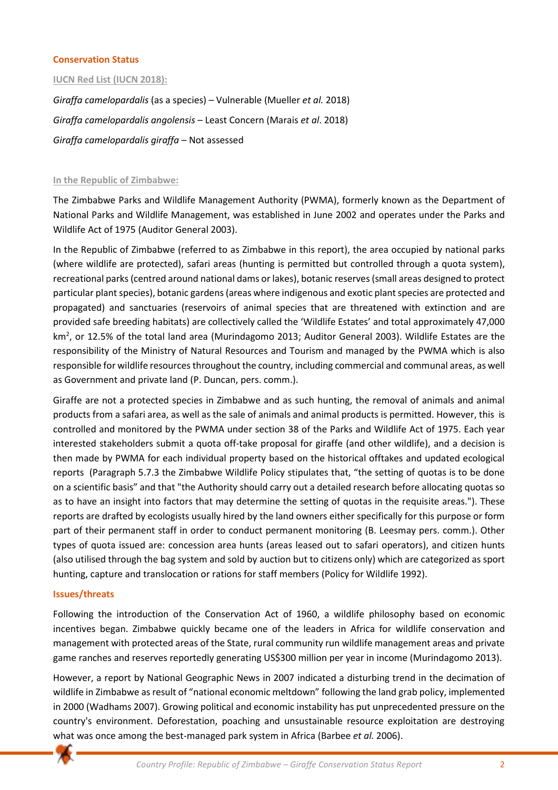#### **Conservation Status**

**IUCN Red List (IUCN 2018):**

*Giraffa camelopardalis* (as a species) – Vulnerable (Mueller *et al.* 2018) *Giraffa camelopardalis angolensis* – Least Concern (Marais *et al*. 2018) *Giraffa camelopardalis giraffa* – Not assessed

#### **In the Republic of Zimbabwe:**

The Zimbabwe Parks and Wildlife Management Authority (PWMA), formerly known as the Department of National Parks and Wildlife Management, was established in June 2002 and operates under the Parks and Wildlife Act of 1975 (Auditor General 2003).

In the Republic of Zimbabwe (referred to as Zimbabwe in this report), the area occupied by national parks (where wildlife are protected), safari areas (hunting is permitted but controlled through a quota system), recreational parks (centred around national dams or lakes), botanic reserves (small areas designed to protect particular plant species), botanic gardens (areas where indigenous and exotic plant species are protected and propagated) and sanctuaries (reservoirs of animal species that are threatened with extinction and are provided safe breeding habitats) are collectively called the 'Wildlife Estates' and total approximately 47,000 km<sup>2</sup>, or 12.5% of the total land area (Murindagomo 2013; Auditor General 2003). Wildlife Estates are the responsibility of the Ministry of Natural Resources and Tourism and managed by the PWMA which is also responsible for wildlife resources throughout the country, including commercial and communal areas, as well as Government and private land (P. Duncan, pers. comm.).

Giraffe are not a protected species in Zimbabwe and as such hunting, the removal of animals and animal products from a safari area, as well as the sale of animals and animal products is permitted. However, this is controlled and monitored by the PWMA under section 38 of the Parks and Wildlife Act of 1975. Each year interested stakeholders submit a quota off-take proposal for giraffe (and other wildlife), and a decision is then made by PWMA for each individual property based on the historical offtakes and updated ecological reports (Paragraph 5.7.3 the Zimbabwe Wildlife Policy stipulates that, "the setting of quotas is to be done on a scientific basis" and that "the Authority should carry out a detailed research before allocating quotas so as to have an insight into factors that may determine the setting of quotas in the requisite areas."). These reports are drafted by ecologists usually hired by the land owners either specifically for this purpose or form part of their permanent staff in order to conduct permanent monitoring (B. Leesmay pers. comm.). Other types of quota issued are: concession area hunts (areas leased out to safari operators), and citizen hunts (also utilised through the bag system and sold by auction but to citizens only) which are categorized as sport hunting, capture and translocation or rations for staff members (Policy for Wildlife 1992).

#### **Issues/threats**

Following the introduction of the Conservation Act of 1960, a wildlife philosophy based on economic incentives began. Zimbabwe quickly became one of the leaders in Africa for wildlife conservation and management with protected areas of the State, rural community run wildlife management areas and private game ranches and reserves reportedly generating US\$300 million per year in income (Murindagomo 2013).

However, a report by National Geographic News in 2007 indicated a disturbing trend in the decimation of wildlife in Zimbabwe as result of "national economic meltdown" following the land grab policy, implemented in 2000 (Wadhams 2007). Growing political and economic instability has put unprecedented pressure on the country's environment. Deforestation, poaching and unsustainable resource exploitation are destroying what was once among the best-managed park system in Africa (Barbee *et al.* 2006).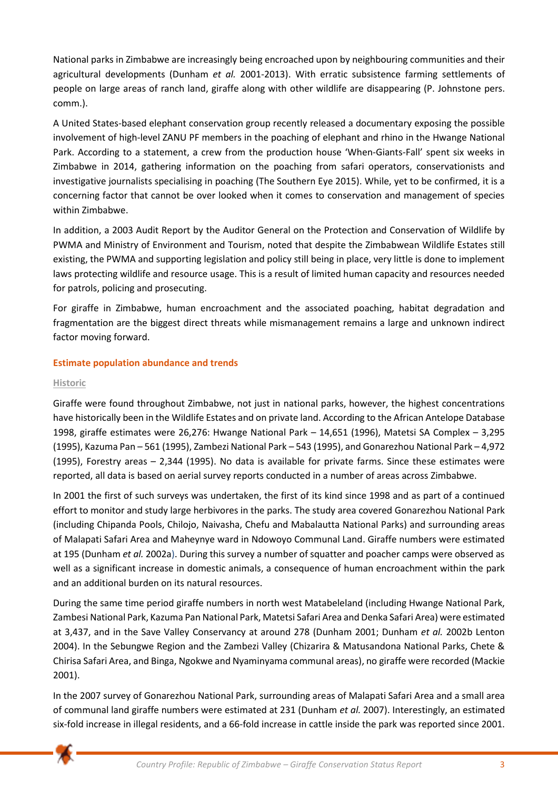National parks in Zimbabwe are increasingly being encroached upon by neighbouring communities and their agricultural developments (Dunham *et al.* 2001-2013). With erratic subsistence farming settlements of people on large areas of ranch land, giraffe along with other wildlife are disappearing (P. Johnstone pers. comm.).

A United States-based elephant conservation group recently released a documentary exposing the possible involvement of high-level ZANU PF members in the poaching of elephant and rhino in the Hwange National Park. According to a statement, a crew from the production house 'When-Giants-Fall' spent six weeks in Zimbabwe in 2014, gathering information on the poaching from safari operators, conservationists and investigative journalists specialising in poaching (The Southern Eye 2015). While, yet to be confirmed, it is a concerning factor that cannot be over looked when it comes to conservation and management of species within Zimbabwe.

In addition, a 2003 Audit Report by the Auditor General on the Protection and Conservation of Wildlife by PWMA and Ministry of Environment and Tourism, noted that despite the Zimbabwean Wildlife Estates still existing, the PWMA and supporting legislation and policy still being in place, very little is done to implement laws protecting wildlife and resource usage. This is a result of limited human capacity and resources needed for patrols, policing and prosecuting.

For giraffe in Zimbabwe, human encroachment and the associated poaching, habitat degradation and fragmentation are the biggest direct threats while mismanagement remains a large and unknown indirect factor moving forward.

### **Estimate population abundance and trends**

#### **Historic**

Giraffe were found throughout Zimbabwe, not just in national parks, however, the highest concentrations have historically been in the Wildlife Estates and on private land. According to the African Antelope Database 1998, giraffe estimates were 26,276: Hwange National Park – 14,651 (1996), Matetsi SA Complex – 3,295 (1995), Kazuma Pan – 561 (1995), Zambezi National Park – 543 (1995), and Gonarezhou National Park – 4,972 (1995), Forestry areas – 2,344 (1995). No data is available for private farms. Since these estimates were reported, all data is based on aerial survey reports conducted in a number of areas across Zimbabwe.

In 2001 the first of such surveys was undertaken, the first of its kind since 1998 and as part of a continued effort to monitor and study large herbivores in the parks. The study area covered Gonarezhou National Park (including Chipanda Pools, Chilojo, Naivasha, Chefu and Mabalautta National Parks) and surrounding areas of Malapati Safari Area and Maheynye ward in Ndowoyo Communal Land. Giraffe numbers were estimated at 195 (Dunham *et al.* 2002a). During this survey a number of squatter and poacher camps were observed as well as a significant increase in domestic animals, a consequence of human encroachment within the park and an additional burden on its natural resources.

During the same time period giraffe numbers in north west Matabeleland (including Hwange National Park, Zambesi National Park, Kazuma Pan National Park, Matetsi Safari Area and Denka Safari Area) were estimated at 3,437, and in the Save Valley Conservancy at around 278 (Dunham 2001; Dunham *et al.* 2002b Lenton 2004). In the Sebungwe Region and the Zambezi Valley (Chizarira & Matusandona National Parks, Chete & Chirisa Safari Area, and Binga, Ngokwe and Nyaminyama communal areas), no giraffe were recorded (Mackie 2001).

In the 2007 survey of Gonarezhou National Park, surrounding areas of Malapati Safari Area and a small area of communal land giraffe numbers were estimated at 231 (Dunham *et al.* 2007). Interestingly, an estimated six-fold increase in illegal residents, and a 66-fold increase in cattle inside the park was reported since 2001.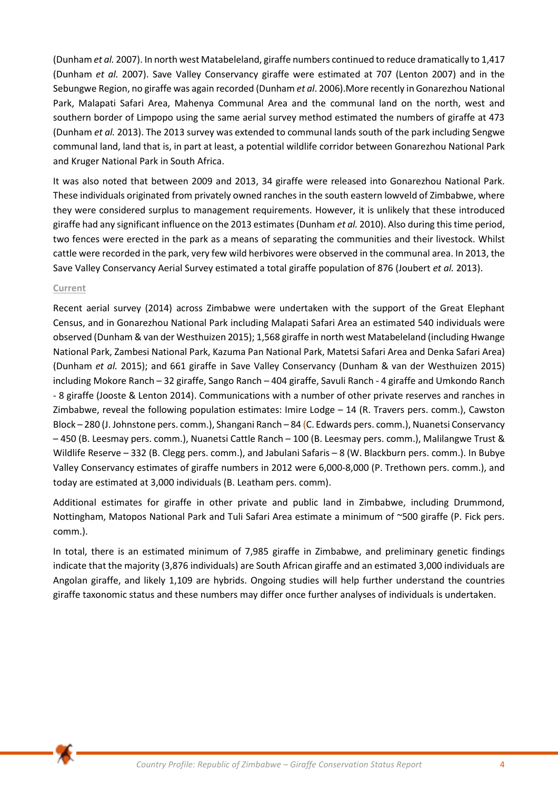(Dunham *et al.* 2007). In north west Matabeleland, giraffe numbers continued to reduce dramatically to 1,417 (Dunham *et al.* 2007). Save Valley Conservancy giraffe were estimated at 707 (Lenton 2007) and in the Sebungwe Region, no giraffe was again recorded (Dunham *et al*. 2006).More recently in Gonarezhou National Park, Malapati Safari Area, Mahenya Communal Area and the communal land on the north, west and southern border of Limpopo using the same aerial survey method estimated the numbers of giraffe at 473 (Dunham *et al.* 2013). The 2013 survey was extended to communal lands south of the park including Sengwe communal land, land that is, in part at least, a potential wildlife corridor between Gonarezhou National Park and Kruger National Park in South Africa.

It was also noted that between 2009 and 2013, 34 giraffe were released into Gonarezhou National Park. These individuals originated from privately owned ranches in the south eastern lowveld of Zimbabwe, where they were considered surplus to management requirements. However, it is unlikely that these introduced giraffe had any significant influence on the 2013 estimates (Dunham *et al.* 2010). Also during this time period, two fences were erected in the park as a means of separating the communities and their livestock. Whilst cattle were recorded in the park, very few wild herbivores were observed in the communal area. In 2013, the Save Valley Conservancy Aerial Survey estimated a total giraffe population of 876 (Joubert *et al.* 2013).

#### **Current**

Recent aerial survey (2014) across Zimbabwe were undertaken with the support of the Great Elephant Census, and in Gonarezhou National Park including Malapati Safari Area an estimated 540 individuals were observed (Dunham & van der Westhuizen 2015); 1,568 giraffe in north west Matabeleland (including Hwange National Park, Zambesi National Park, Kazuma Pan National Park, Matetsi Safari Area and Denka Safari Area) (Dunham *et al.* 2015); and 661 giraffe in Save Valley Conservancy (Dunham & van der Westhuizen 2015) including Mokore Ranch – 32 giraffe, Sango Ranch – 404 giraffe, Savuli Ranch - 4 giraffe and Umkondo Ranch - 8 giraffe (Jooste & Lenton 2014). Communications with a number of other private reserves and ranches in Zimbabwe, reveal the following population estimates: Imire Lodge – 14 (R. Travers pers. comm.), Cawston Block – 280 (J. Johnstone pers. comm.), Shangani Ranch – 84 (C. Edwards pers. comm.), Nuanetsi Conservancy – 450 (B. Leesmay pers. comm.), Nuanetsi Cattle Ranch – 100 (B. Leesmay pers. comm.), Malilangwe Trust & Wildlife Reserve – 332 (B. Clegg pers. comm.), and Jabulani Safaris – 8 (W. Blackburn pers. comm.). In Bubye Valley Conservancy estimates of giraffe numbers in 2012 were 6,000-8,000 (P. Trethown pers. comm.), and today are estimated at 3,000 individuals (B. Leatham pers. comm).

Additional estimates for giraffe in other private and public land in Zimbabwe, including Drummond, Nottingham, Matopos National Park and Tuli Safari Area estimate a minimum of ~500 giraffe (P. Fick pers. comm.).

In total, there is an estimated minimum of 7,985 giraffe in Zimbabwe, and preliminary genetic findings indicate that the majority (3,876 individuals) are South African giraffe and an estimated 3,000 individuals are Angolan giraffe, and likely 1,109 are hybrids. Ongoing studies will help further understand the countries giraffe taxonomic status and these numbers may differ once further analyses of individuals is undertaken.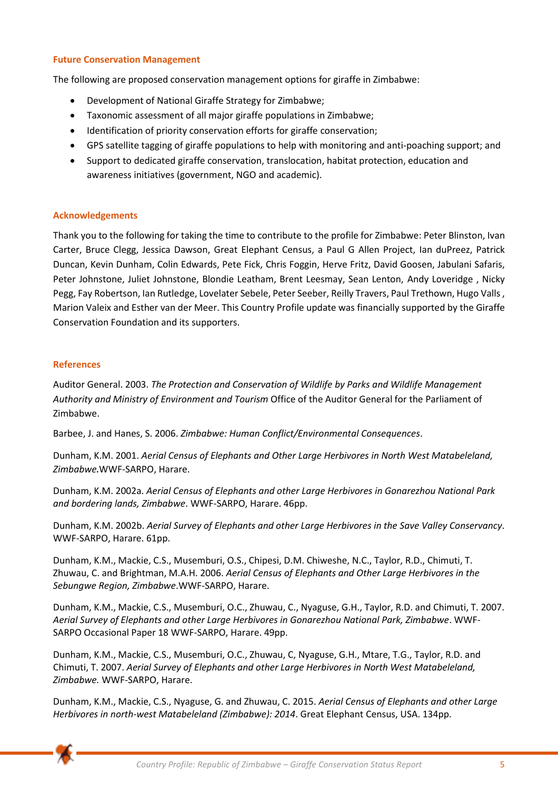#### **Future Conservation Management**

The following are proposed conservation management options for giraffe in Zimbabwe:

- Development of National Giraffe Strategy for Zimbabwe;
- Taxonomic assessment of all major giraffe populations in Zimbabwe;
- Identification of priority conservation efforts for giraffe conservation;
- GPS satellite tagging of giraffe populations to help with monitoring and anti-poaching support; and
- Support to dedicated giraffe conservation, translocation, habitat protection, education and awareness initiatives (government, NGO and academic).

#### **Acknowledgements**

Thank you to the following for taking the time to contribute to the profile for Zimbabwe: Peter Blinston, Ivan Carter, Bruce Clegg, Jessica Dawson, Great Elephant Census, a Paul G Allen Project, Ian duPreez, Patrick Duncan, Kevin Dunham, Colin Edwards, Pete Fick, Chris Foggin, Herve Fritz, David Goosen, Jabulani Safaris, Peter Johnstone, Juliet Johnstone, Blondie Leatham, Brent Leesmay, Sean Lenton, Andy Loveridge , Nicky Pegg, Fay Robertson, Ian Rutledge, Lovelater Sebele, Peter Seeber, Reilly Travers, Paul Trethown, Hugo Valls , Marion Valeix and Esther van der Meer. This Country Profile update was financially supported by the Giraffe Conservation Foundation and its supporters.

#### **References**

Auditor General. 2003. *The Protection and Conservation of Wildlife by Parks and Wildlife Management Authority and Ministry of Environment and Tourism* Office of the Auditor General for the Parliament of Zimbabwe.

Barbee, J. and Hanes, S. 2006. *Zimbabwe: Human Conflict/Environmental Consequences*.

Dunham, K.M. 2001. *Aerial Census of Elephants and Other Large Herbivores in North West Matabeleland, Zimbabwe*.WWF-SARPO, Harare.

Dunham, K.M. 2002a. *Aerial Census of Elephants and other Large Herbivores in Gonarezhou National Park and bordering lands, Zimbabwe*. WWF-SARPO, Harare. 46pp.

Dunham, K.M. 2002b. *Aerial Survey of Elephants and other Large Herbivores in the Save Valley Conservancy*. WWF-SARPO, Harare. 61pp.

Dunham, K.M., Mackie, C.S., Musemburi, O.S., Chipesi, D.M. Chiweshe, N.C., Taylor, R.D., Chimuti, T. Zhuwau, C. and Brightman, M.A.H. 2006. *Aerial Census of Elephants and Other Large Herbivores in the Sebungwe Region, Zimbabwe*.WWF-SARPO, Harare.

Dunham, K.M., Mackie, C.S., Musemburi, O.C., Zhuwau, C., Nyaguse, G.H., Taylor, R.D. and Chimuti, T. 2007. *Aerial Survey of Elephants and other Large Herbivores in Gonarezhou National Park, Zimbabwe*. WWF-SARPO Occasional Paper 18 WWF-SARPO, Harare. 49pp.

Dunham, K.M., Mackie, C.S., Musemburi, O.C., Zhuwau, C, Nyaguse, G.H., Mtare, T.G., Taylor, R.D. and Chimuti, T. 2007. *Aerial Survey of Elephants and other Large Herbivores in North West Matabeleland, Zimbabwe.* WWF-SARPO, Harare.

Dunham, K.M., Mackie, C.S., Nyaguse, G. and Zhuwau, C. 2015. *Aerial Census of Elephants and other Large Herbivores in north-west Matabeleland (Zimbabwe): 2014*. Great Elephant Census, USA. 134pp.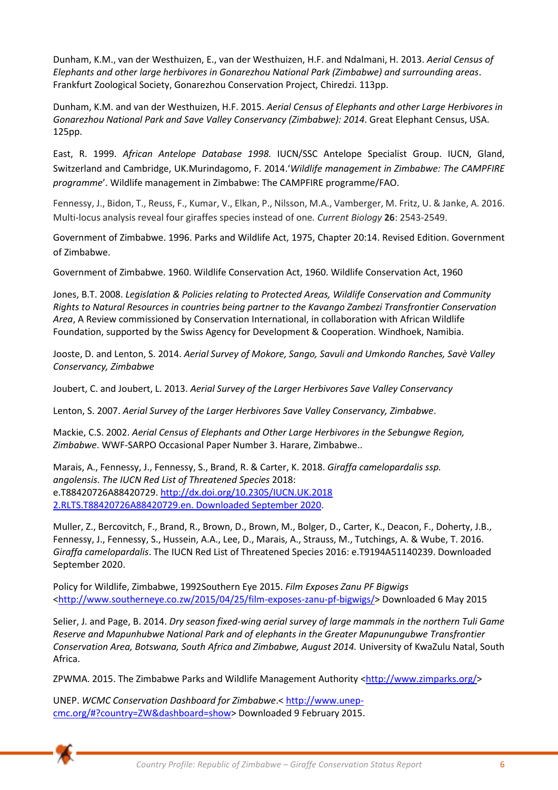Dunham, K.M., van der Westhuizen, E., van der Westhuizen, H.F. and Ndalmani, H. 2013. *Aerial Census of Elephants and other large herbivores in Gonarezhou National Park (Zimbabwe) and surrounding areas*. Frankfurt Zoological Society, Gonarezhou Conservation Project, Chiredzi. 113pp.

Dunham, K.M. and van der Westhuizen, H.F. 2015. *Aerial Census of Elephants and other Large Herbivores in Gonarezhou National Park and Save Valley Conservancy (Zimbabwe): 2014*. Great Elephant Census, USA. 125pp.

East, R. 1999. *African Antelope Database 1998.* IUCN/SSC Antelope Specialist Group. IUCN, Gland, Switzerland and Cambridge, UK.Murindagomo, F. 2014.'*Wildlife management in Zimbabwe: The CAMPFIRE programme*'. Wildlife management in Zimbabwe: The CAMPFIRE programme/FAO.

Fennessy, J., Bidon, T., Reuss, F., Kumar, V., Elkan, P., Nilsson, M.A., Vamberger, M. Fritz, U. & Janke, A. 2016. Multi-locus analysis reveal four giraffes species instead of one*. Current Biology* **26**: 2543-2549.

Government of Zimbabwe. 1996. Parks and Wildlife Act, 1975, Chapter 20:14. Revised Edition. Government of Zimbabwe.

Government of Zimbabwe. 1960. Wildlife Conservation Act, 1960. Wildlife Conservation Act, 1960

Jones, B.T. 2008. *Legislation & Policies relating to Protected Areas, Wildlife Conservation and Community Rights to Natural Resources in countries being partner to the Kavango Zambezi Transfrontier Conservation Area*, A Review commissioned by Conservation International, in collaboration with African Wildlife Foundation, supported by the Swiss Agency for Development & Cooperation. Windhoek, Namibia.

Jooste, D. and Lenton, S. 2014. *Aerial Survey of Mokore, Sango, Savuli and Umkondo Ranches, Savè Valley Conservancy, Zimbabwe*

Joubert, C. and Joubert, L. 2013. *Aerial Survey of the Larger Herbivores Save Valley Conservancy*

Lenton, S. 2007. *Aerial Survey of the Larger Herbivores Save Valley Conservancy, Zimbabwe*.

Mackie, C.S. 2002. *Aerial Census of Elephants and Other Large Herbivores in the Sebungwe Region, Zimbabwe*. WWF-SARPO Occasional Paper Number 3. Harare, Zimbabwe..

Marais, A., Fennessy, J., Fennessy, S., Brand, R. & Carter, K. 2018. *Giraffa camelopardalis ssp. angolensis*. *The IUCN Red List of Threatened Species* 2018: e.T88420726A88420729. [http://dx.doi.org/10.2305/IUCN.UK.2018](http://dx.doi.org/10.2305/IUCN.UK.2018%202.RLTS.T88420726A88420729.en. Downloaded%20September%202020)  [2.RLTS.T88420726A88420729.en. Downloaded September 2020.](http://dx.doi.org/10.2305/IUCN.UK.2018%202.RLTS.T88420726A88420729.en. Downloaded%20September%202020)

Muller, Z., Bercovitch, F., Brand, R., Brown, D., Brown, M., Bolger, D., Carter, K., Deacon, F., Doherty, J.B., Fennessy, J., Fennessy, S., Hussein, A.A., Lee, D., Marais, A., Strauss, M., Tutchings, A. & Wube, T. 2016. *Giraffa camelopardalis*. The IUCN Red List of Threatened Species 2016: e.T9194A51140239. Downloaded September 2020.

Policy for Wildlife, Zimbabwe, 1992Southern Eye 2015. *Film Exposes Zanu PF Bigwigs* [<http://www.southerneye.co.zw/2015/04/25/film-exposes-zanu-pf-bigwigs/>](http://www.southerneye.co.zw/2015/04/25/film-exposes-zanu-pf-bigwigs/) Downloaded 6 May 2015

Selier, J. and Page, B. 2014. *Dry season fixed-wing aerial survey of large mammals in the northern Tuli Game Reserve and Mapunhubwe National Park and of elephants in the Greater Mapunungubwe Transfrontier Conservation Area, Botswana, South Africa and Zimbabwe, August 2014.* University of KwaZulu Natal, South Africa.

ZPWMA. 2015. The Zimbabwe Parks and Wildlife Management Authority [<http://www.zimparks.org/>](http://www.zimparks.org/)

UNEP. *WCMC Conservation Dashboard for Zimbabwe*.< [http://www.unep](http://www.unep-cmc.org/#?country=ZW&dashboard=show)[cmc.org/#?country=ZW&dashboard=show>](http://www.unep-cmc.org/#?country=ZW&dashboard=show) Downloaded 9 February 2015.